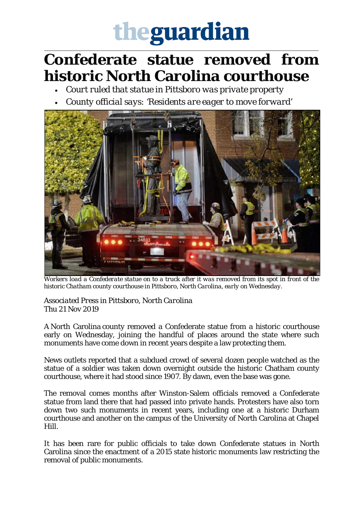## theguardian

\_\_\_\_\_\_\_\_\_\_\_\_\_\_\_\_\_\_\_\_\_\_\_\_\_\_\_\_\_\_\_\_\_\_\_\_\_\_\_\_\_\_\_\_\_\_\_\_\_\_\_\_\_\_\_\_\_\_\_\_\_\_\_\_\_\_\_\_\_\_\_\_\_\_\_\_\_\_\_\_\_\_\_\_\_\_\_\_\_\_\_\_\_\_\_\_\_\_\_\_\_\_\_\_\_\_\_\_\_\_\_\_\_

## **Confederate statue removed from historic North Carolina courthouse**

- *Court ruled that statue in Pittsboro was private property*
- *County official says: 'Residents are eager to move forward'*



Workers load a Confederate statue on to a truck after it was removed from its spot in front of the *historic Chatham county courthouse in Pittsboro, North Carolina, early on Wednesday.*

*Associated Press in Pittsboro, North Carolina* Thu 21 Nov 2019

A North Carolina county removed a Confederate statue from a historic courthouse early on Wednesday, joining the handful of places around the state where such monuments have come down in recent years despite a law protecting them.

News outlets reported that a subdued crowd of several dozen people watched as the statue of a soldier was taken down overnight outside the historic Chatham county courthouse, where it had stood since 1907. By dawn, even the base was gone.

The removal comes months after Winston-Salem officials removed a Confederate statue from land there that had passed into private hands. Protesters have also torn down two such monuments in recent years, including one at a historic Durham courthouse and another on the campus of the University of North Carolina at Chapel Hill.

It has been rare for public officials to take down Confederate statues in North Carolina since the enactment of a 2015 state historic monuments law restricting the removal of public monuments.